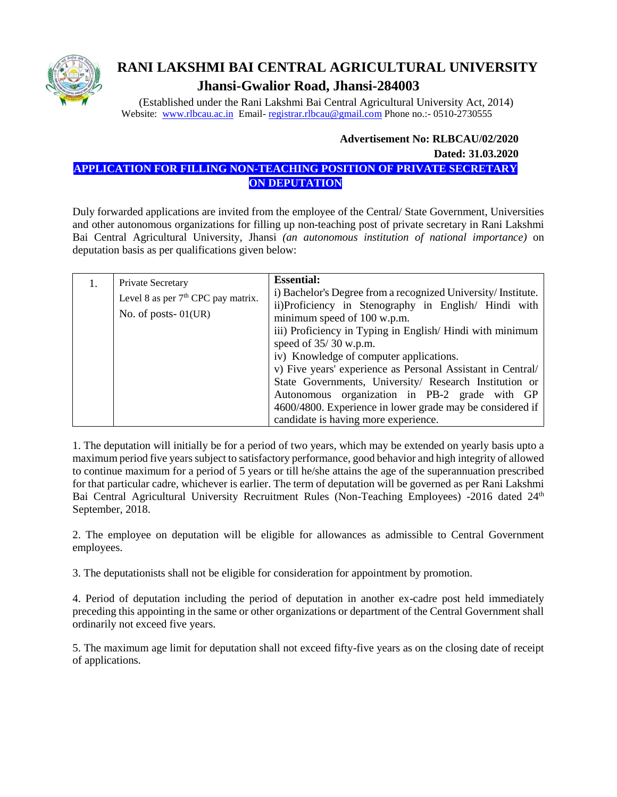

# **RANI LAKSHMI BAI CENTRAL AGRICULTURAL UNIVERSITY Jhansi-Gwalior Road, Jhansi-284003**

 (Established under the Rani Lakshmi Bai Central Agricultural University Act, 2014) Website: [www.rlbcau.ac.in](http://www.rlbcau.ac.in/) Email- [registrar.rlbcau@gmail.com](mailto:registrar.rlbcau@gmail.co) Phone no.:- 0510-2730555

#### **Advertisement No: RLBCAU/02/2020**

 **Dated: 31.03.2020**

## **APPLICATION FOR FILLING NON-TEACHING POSITION OF PRIVATE SECRETARY ON DEPUTATION**

Duly forwarded applications are invited from the employee of the Central/ State Government, Universities and other autonomous organizations for filling up non-teaching post of private secretary in Rani Lakshmi Bai Central Agricultural University, Jhansi *(an autonomous institution of national importance)* on deputation basis as per qualifications given below:

|  | Private Secretary<br>Level 8 as per $7th$ CPC pay matrix.<br>No. of posts- $01(UR)$ | <b>Essential:</b><br>i) Bachelor's Degree from a recognized University/ Institute.<br>ii)Proficiency in Stenography in English/ Hindi with<br>minimum speed of 100 w.p.m.<br>iii) Proficiency in Typing in English/Hindi with minimum<br>speed of $35/30$ w.p.m.<br>iv) Knowledge of computer applications. |  |
|--|-------------------------------------------------------------------------------------|-------------------------------------------------------------------------------------------------------------------------------------------------------------------------------------------------------------------------------------------------------------------------------------------------------------|--|
|  |                                                                                     | v) Five years' experience as Personal Assistant in Central/<br>State Governments, University/ Research Institution or<br>Autonomous organization in PB-2 grade with GP<br>4600/4800. Experience in lower grade may be considered if<br>candidate is having more experience.                                 |  |

1. The deputation will initially be for a period of two years, which may be extended on yearly basis upto a maximum period five years subject to satisfactory performance, good behavior and high integrity of allowed to continue maximum for a period of 5 years or till he/she attains the age of the superannuation prescribed for that particular cadre, whichever is earlier. The term of deputation will be governed as per Rani Lakshmi Bai Central Agricultural University Recruitment Rules (Non-Teaching Employees) -2016 dated 24<sup>th</sup> September, 2018.

2. The employee on deputation will be eligible for allowances as admissible to Central Government employees.

3. The deputationists shall not be eligible for consideration for appointment by promotion.

4. Period of deputation including the period of deputation in another ex-cadre post held immediately preceding this appointing in the same or other organizations or department of the Central Government shall ordinarily not exceed five years.

5. The maximum age limit for deputation shall not exceed fifty-five years as on the closing date of receipt of applications.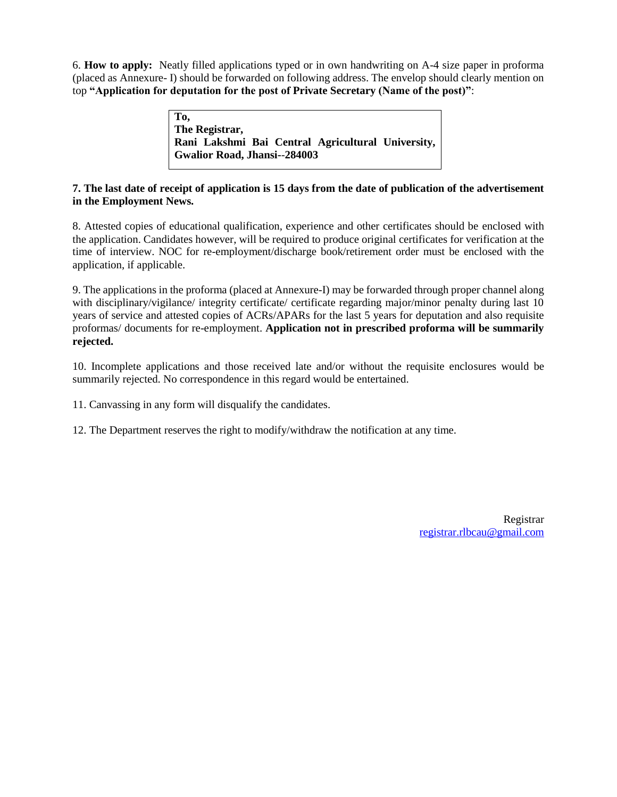6. **How to apply:** Neatly filled applications typed or in own handwriting on A-4 size paper in proforma (placed as Annexure- I) should be forwarded on following address. The envelop should clearly mention on top **"Application for deputation for the post of Private Secretary (Name of the post)"**:

> **To, The Registrar, Rani Lakshmi Bai Central Agricultural University, Gwalior Road, Jhansi-**-**284003**

#### **7. The last date of receipt of application is 15 days from the date of publication of the advertisement in the Employment News.**

8. Attested copies of educational qualification, experience and other certificates should be enclosed with the application. Candidates however, will be required to produce original certificates for verification at the time of interview. NOC for re-employment/discharge book/retirement order must be enclosed with the application, if applicable.

9. The applications in the proforma (placed at Annexure-I) may be forwarded through proper channel along with disciplinary/vigilance/ integrity certificate/ certificate regarding major/minor penalty during last 10 years of service and attested copies of ACRs/APARs for the last 5 years for deputation and also requisite proformas/ documents for re-employment. **Application not in prescribed proforma will be summarily rejected.**

10. Incomplete applications and those received late and/or without the requisite enclosures would be summarily rejected. No correspondence in this regard would be entertained.

11. Canvassing in any form will disqualify the candidates.

12. The Department reserves the right to modify/withdraw the notification at any time.

Registrar <registrar.rlbcau@gmail.com>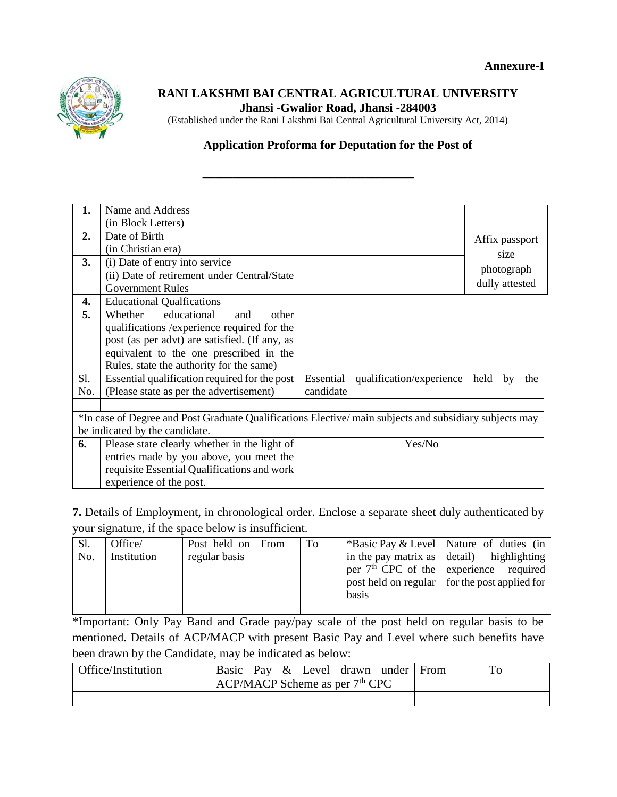

### **RANI LAKSHMI BAI CENTRAL AGRICULTURAL UNIVERSITY Jhansi -Gwalior Road, Jhansi -284003**

(Established under the Rani Lakshmi Bai Central Agricultural University Act, 2014)

## **Application Proforma for Deputation for the Post of**

**\_\_\_\_\_\_\_\_\_\_\_\_\_\_\_\_\_\_\_\_\_\_\_\_\_\_\_\_\_\_\_\_\_\_\_**

| 1.                             | Name and Address                                                                                       |           |                                    |                   |
|--------------------------------|--------------------------------------------------------------------------------------------------------|-----------|------------------------------------|-------------------|
|                                | (in Block Letters)                                                                                     |           |                                    |                   |
| 2.                             | Date of Birth                                                                                          |           |                                    | Affix passport    |
|                                | (in Christian era)                                                                                     |           |                                    | size              |
| 3.                             | (i) Date of entry into service                                                                         |           |                                    |                   |
|                                | (ii) Date of retirement under Central/State                                                            |           |                                    | photograph        |
|                                | <b>Government Rules</b>                                                                                |           |                                    | dully attested    |
| 4.                             | <b>Educational Qualfications</b>                                                                       |           |                                    |                   |
| 5.                             | educational<br>Whether<br>other<br>and                                                                 |           |                                    |                   |
|                                | qualifications /experience required for the                                                            |           |                                    |                   |
|                                | post (as per advt) are satisfied. (If any, as                                                          |           |                                    |                   |
|                                | equivalent to the one prescribed in the                                                                |           |                                    |                   |
|                                | Rules, state the authority for the same)                                                               |           |                                    |                   |
| Sl.                            | Essential qualification required for the post                                                          |           | Essential qualification/experience | held<br>the<br>by |
| No.                            | (Please state as per the advertisement)                                                                | candidate |                                    |                   |
|                                |                                                                                                        |           |                                    |                   |
|                                | *In case of Degree and Post Graduate Qualifications Elective/main subjects and subsidiary subjects may |           |                                    |                   |
| be indicated by the candidate. |                                                                                                        |           |                                    |                   |
| 6.                             | Please state clearly whether in the light of                                                           |           | Yes/No                             |                   |
|                                | entries made by you above, you meet the                                                                |           |                                    |                   |
|                                | requisite Essential Qualifications and work                                                            |           |                                    |                   |
|                                | experience of the post.                                                                                |           |                                    |                   |

**7.** Details of Employment, in chronological order. Enclose a separate sheet duly authenticated by your signature, if the space below is insufficient.

| S1. | Office/     | Post held on From | To |       | *Basic Pay & Level   Nature of duties (in         |
|-----|-------------|-------------------|----|-------|---------------------------------------------------|
| No. | Institution | regular basis     |    |       | in the pay matrix as $\vert$ detail) highlighting |
|     |             |                   |    |       | per $7th$ CPC of the experience required          |
|     |             |                   |    |       | post held on regular   for the post applied for   |
|     |             |                   |    | basis |                                                   |
|     |             |                   |    |       |                                                   |

\*Important: Only Pay Band and Grade pay/pay scale of the post held on regular basis to be mentioned. Details of ACP/MACP with present Basic Pay and Level where such benefits have been drawn by the Candidate, may be indicated as below:

| Office/Institution | Basic Pay & Level drawn under From<br>$ACP/MACP$ Scheme as per $7th$ CPC | To |
|--------------------|--------------------------------------------------------------------------|----|
|                    |                                                                          |    |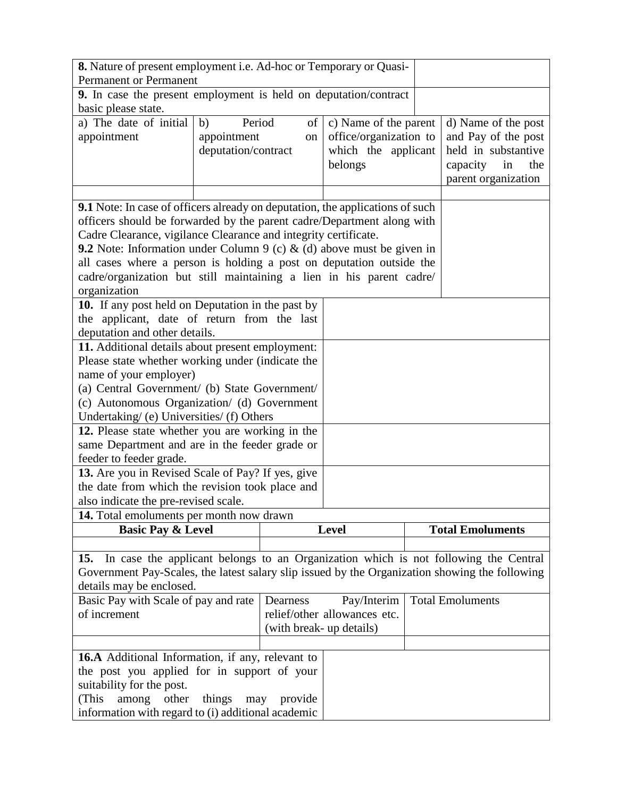| 8. Nature of present employment i.e. Ad-hoc or Temporary or Quasi-                             |                     |                              |  |                         |  |
|------------------------------------------------------------------------------------------------|---------------------|------------------------------|--|-------------------------|--|
| <b>Permanent or Permanent</b>                                                                  |                     |                              |  |                         |  |
| 9. In case the present employment is held on deputation/contract                               |                     |                              |  |                         |  |
| basic please state.                                                                            |                     |                              |  |                         |  |
| a) The date of initial<br>b)                                                                   | Period<br>of        | c) Name of the parent        |  | d) Name of the post     |  |
| appointment                                                                                    | appointment<br>on   | office/organization to       |  | and Pay of the post     |  |
|                                                                                                | deputation/contract | which the applicant          |  | held in substantive     |  |
|                                                                                                |                     | belongs                      |  | capacity<br>in<br>the   |  |
|                                                                                                |                     |                              |  | parent organization     |  |
|                                                                                                |                     |                              |  |                         |  |
| <b>9.1</b> Note: In case of officers already on deputation, the applications of such           |                     |                              |  |                         |  |
| officers should be forwarded by the parent cadre/Department along with                         |                     |                              |  |                         |  |
| Cadre Clearance, vigilance Clearance and integrity certificate.                                |                     |                              |  |                         |  |
| <b>9.2</b> Note: Information under Column 9 (c) $\&$ (d) above must be given in                |                     |                              |  |                         |  |
| all cases where a person is holding a post on deputation outside the                           |                     |                              |  |                         |  |
| cadre/organization but still maintaining a lien in his parent cadre/                           |                     |                              |  |                         |  |
| organization                                                                                   |                     |                              |  |                         |  |
| 10. If any post held on Deputation in the past by                                              |                     |                              |  |                         |  |
| the applicant, date of return from the last                                                    |                     |                              |  |                         |  |
| deputation and other details.                                                                  |                     |                              |  |                         |  |
| 11. Additional details about present employment:                                               |                     |                              |  |                         |  |
| Please state whether working under (indicate the                                               |                     |                              |  |                         |  |
| name of your employer)                                                                         |                     |                              |  |                         |  |
| (a) Central Government/ (b) State Government/                                                  |                     |                              |  |                         |  |
| (c) Autonomous Organization/ (d) Government                                                    |                     |                              |  |                         |  |
| Undertaking/ (e) Universities/ (f) Others                                                      |                     |                              |  |                         |  |
| 12. Please state whether you are working in the                                                |                     |                              |  |                         |  |
| same Department and are in the feeder grade or                                                 |                     |                              |  |                         |  |
| feeder to feeder grade.                                                                        |                     |                              |  |                         |  |
| 13. Are you in Revised Scale of Pay? If yes, give                                              |                     |                              |  |                         |  |
| the date from which the revision took place and                                                |                     |                              |  |                         |  |
| also indicate the pre-revised scale.                                                           |                     |                              |  |                         |  |
| 14. Total emoluments per month now drawn                                                       |                     |                              |  |                         |  |
| <b>Basic Pay &amp; Level</b>                                                                   |                     | <b>Level</b>                 |  | <b>Total Emoluments</b> |  |
|                                                                                                |                     |                              |  |                         |  |
| In case the applicant belongs to an Organization which is not following the Central<br>15.     |                     |                              |  |                         |  |
| Government Pay-Scales, the latest salary slip issued by the Organization showing the following |                     |                              |  |                         |  |
| details may be enclosed.                                                                       |                     |                              |  |                         |  |
| Basic Pay with Scale of pay and rate                                                           | Dearness            | Pay/Interim                  |  | <b>Total Emoluments</b> |  |
| of increment                                                                                   |                     | relief/other allowances etc. |  |                         |  |
| (with break- up details)                                                                       |                     |                              |  |                         |  |
|                                                                                                |                     |                              |  |                         |  |
| <b>16.A</b> Additional Information, if any, relevant to                                        |                     |                              |  |                         |  |
| the post you applied for in support of your                                                    |                     |                              |  |                         |  |
| suitability for the post.                                                                      |                     |                              |  |                         |  |
| (This<br>other<br>things<br>among                                                              | provide<br>may      |                              |  |                         |  |
| information with regard to (i) additional academic                                             |                     |                              |  |                         |  |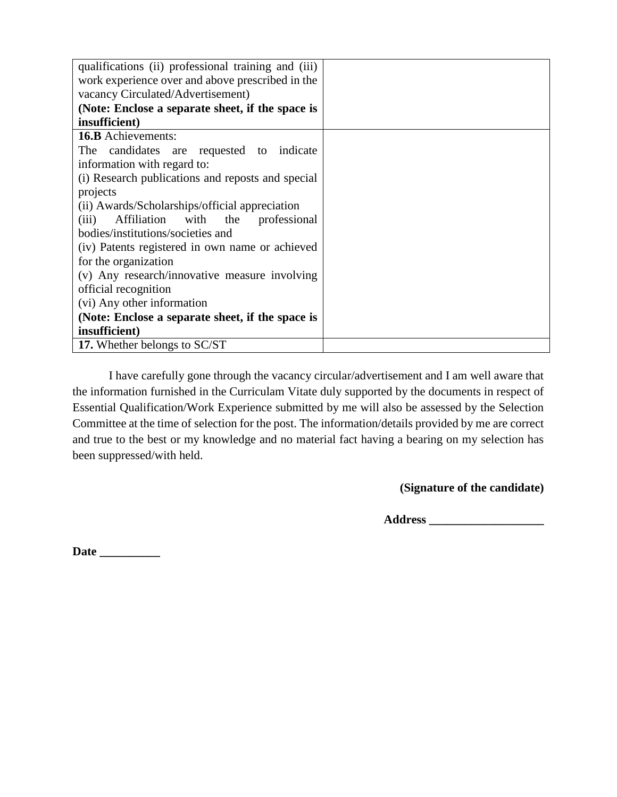| qualifications (ii) professional training and (iii) |  |
|-----------------------------------------------------|--|
| work experience over and above prescribed in the    |  |
| vacancy Circulated/Advertisement)                   |  |
| (Note: Enclose a separate sheet, if the space is    |  |
| insufficient)                                       |  |
| <b>16.B</b> Achievements:                           |  |
| candidates are requested to indicate<br>The         |  |
| information with regard to:                         |  |
| (i) Research publications and reposts and special   |  |
| projects                                            |  |
| (ii) Awards/Scholarships/official appreciation      |  |
| Affiliation with the<br>(iii)<br>professional       |  |
| bodies/institutions/societies and                   |  |
| (iv) Patents registered in own name or achieved     |  |
| for the organization                                |  |
| (v) Any research/innovative measure involving       |  |
| official recognition                                |  |
| (vi) Any other information                          |  |
| (Note: Enclose a separate sheet, if the space is    |  |
| insufficient)                                       |  |
| 17. Whether belongs to SC/ST                        |  |

I have carefully gone through the vacancy circular/advertisement and I am well aware that the information furnished in the Curriculam Vitate duly supported by the documents in respect of Essential Qualification/Work Experience submitted by me will also be assessed by the Selection Committee at the time of selection for the post. The information/details provided by me are correct and true to the best or my knowledge and no material fact having a bearing on my selection has been suppressed/with held.

**(Signature of the candidate)**

**Address \_\_\_\_\_\_\_\_\_\_\_\_\_\_\_\_\_\_\_**

**Date \_\_\_\_\_\_\_\_\_\_**